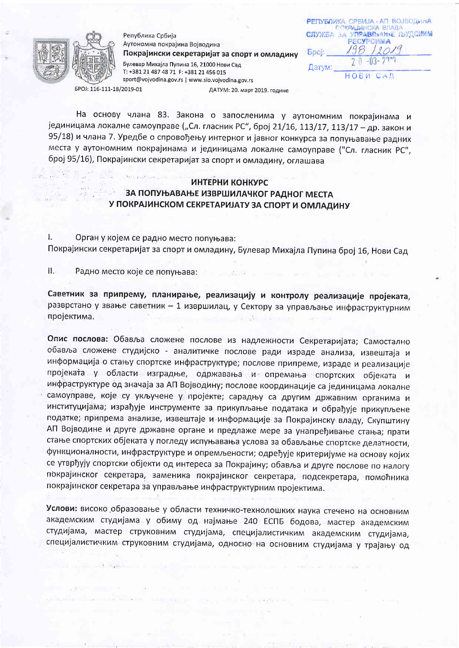

Република Србија Аутономна покрајина Војводина Покрајински секретаријат за спорт и омладину Булевар Михајла Пупина 16, 21000 Нови Сад T: +381 21 487 48 71 F: +381 21 456 015 sport@vojvodina.gov.rs | www.sio.vojvodina.gov.rs ДАТУМ: 20. март 2019. године

РЕПУБЛИКА СРБИЈА - АП ВОЈВОДИНА ПОКРАЈИНСКА ВЛАДА **СЛУЖЕА ЗА УПРАВЉАМЪЕ ЉУДСИМ РЕСУРСИМА Bpol:** Датум: **НОВИ** 

EPOJ: 116-111-18/2019-01

На основу члана 83. Закона о запосленима у аутономним покрајинама и јединицама локалне самоуправе ("Сл. гласник РС", број 21/16, 113/17, 113/17 - др. закон и 95/18) и члана 7. Уредбе о спровођењу интерног и јавног конкурса за попуњавање радних места у аутономним покрајинама и јединицама локалне самоуправе ("Сл. гласник РС", број 95/16), Покрајински секретаријат за спорт и омладину, оглашава

## ИНТЕРНИ КОНКУРС ЗА ПОПУЊАВАЊЕ ИЗВРШИЛАЧКОГ РАДНОГ МЕСТА У ПОКРАЈИНСКОМ СЕКРЕТАРИЈАТУ ЗА СПОРТ И ОМЛАДИНУ

I. Орган у којем се радно место попуњава: Покрајински секретаријат за спорт и омладину, Булевар Михајла Пупина број 16, Нови Сад

 $\prod_{i=1}^{n}$ Радно место које се попуњава:

Саветник за припрему, планирање, реализацију и контролу реализације пројеката, разврстано у звање саветник - 1 извршилац, у Сектору за управљање инфраструктурним пројектима.

Опис послова: Обавља сложене послове из надлежности Секретаријата; Самостално обавља сложене студијско - аналитичке послове ради израде анализа, извештаја и информација о стању спортске инфраструктуре; послове припреме, израде и реализације пројеката у области изградње, одржавања и опремања спортских објеката и инфраструктуре од значаја за АП Војводину; послове координације са јединицама локалне самоуправе, које су укључене у пројекте; сарадњу са другим државним органима и институцијама; израђује инструменте за прикупљање података и обрађује прикупљене податке, припрема анализе, извештаје и информације за Покрајинску владу, Скупштину АП Војводине и друге државне органе и предлаже мере за унапређивање стања; прати стање спортских објеката у погледу испуњавања услова за обављање спортске делатности, функционалности, инфраструктуре и опремљености; одређује критеријуме на основу којих се утврђују спортски објекти од интереса за Покрајину; обавља и друге послове по налогу покрајинског секретара, заменика покрајинског секретара, подсекретара, помоћника покрајинског секретара за управљање инфраструктурним пројектима.

Услови: високо образовање у области техничко-технолошких наука стечено на основним академским студијама у обиму од најмање 240 ЕСПБ бодова, мастер академским студијама, мастер струковним студијама, специјалистичким академским студијама, специјалистичким струковним студијама, односно на основним студијама у трајању од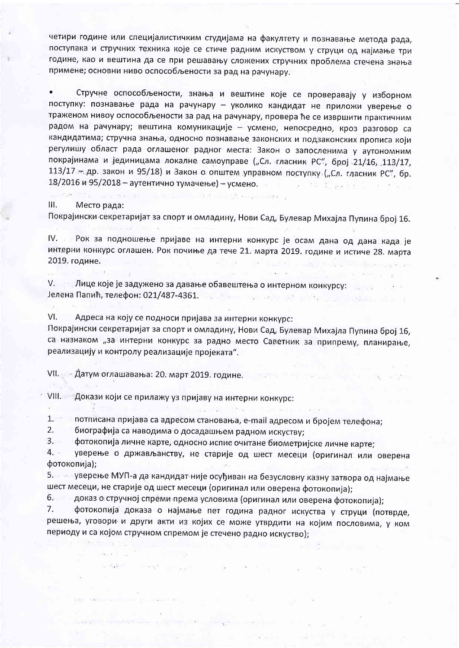четири године или специјалистичким студијама на факултету и познавање метода рада, поступака и стручних техника које се стиче радним искуством у струци од најмање три године, као и вештина да се при решавању сложених стручних проблема стечена знања примене; основни ниво оспособљености за рад на рачунару.

 $\bullet$ Стручне оспособљености, знања и вештине које се проверавају у изборном поступку: познавање рада на рачунару - уколико кандидат не приложи уверење о траженом нивоу оспособљености за рад на рачунару, провера ће се извршити практичним радом на рачунару; вештина комуникације - усмено, непосредно, кроз разговор са кандидатима; стручна знања, односно познавање законских и подзаконских прописа који регулишу област рада оглашеног радног места: Закон о запосленима у аутономним покрајинама и јединицама локалне самоуправе ("Сл. гласник РС", број 21/16, 113/17, 113/17 - др. закон и 95/18) и Закон о општем управном поступку ("Сл. гласник РС", бр. 18/2016 и 95/2018 - аутентично тумачење) - усмено.

**CONTRACTOR CHECK AND ACCOUNTS** OF EXPERIMENT III. Место рада:

 $\mathcal{L}$ 

 $\mathcal{L}$ 

and in the public form of the con-

Покрајински секретаријат за спорт и омладину, Нови Сад, Булевар Михајла Пупина број 16.

IV. Рок за подношење пријаве на интерни конкурс је осам дана од дана када је интерни конкурс оглашен. Рок почиње да тече 21. марта 2019. године и истиче 28. марта 2019. године. of the state of the state of the state of the state of the state of the state of the state of the state of the state of the state of the state of the state of the state of the state of the state of the state of the state o

**SOFT THE** 

 $\Delta E_{\rm{eff}}=16$ 

V. В Лице које је задужено за давање обавештења о интерном конкурсу: Винавина в се 

VI. Адреса на коју се подноси пријава за интерни конкурс:

Покрајински секретаријат за спорт и омладину, Нови Сад, Булевар Михајла Пупина број 16, са назнаком "за интерни конкурс за радно место Саветник за припрему, планирање, реализацију и контролу реализације пројеката".

VII. - Датум оглашавања: 20. март 2019. године.

VIII. Докази који се прилажу уз пријаву на интерни конкурс:

 $1 - 7 - 1$ потписана пријава са адресом становања, e-mail адресом и бројем телефона;

 $2.$ биографија са наводима о досадашњем радном искуству;

month of the con-

 $3.$ фотокопија личне карте, односно испис очитане биометријске личне карте;

 $4.$ уверење о држављанству, не старије од шест месеци (оригинал или оверена фотокопија);

awn that <sup>ho</sup>rse to flow the

5. Уверење МУП-а да кандидат није осуђиван на безусловну казну затвора од најмање шест месеци, не старије од шест месеци (оригинал или оверена фотокопија);

доказ о стручној спреми према условима (оригинал или оверена фотокопија);  $6.$ 

 $7.$ фотокопија доказа о најмање пет година радног искуства у струци (потврде, решења, уговори и други акти из којих се може утврдити на којим пословима, у ком периоду и са којом стручном спремом је стечено радно искуство);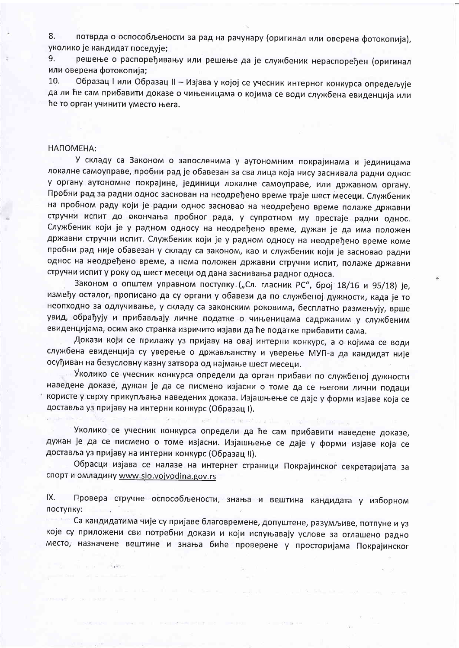потврда о оспособљености за рад на рачунару (оригинал или оверена фотокопија), 8. уколико је кандидат поседује;

решење о распоређивању или решење да је службеник нераспоређен (оригинал 9. или оверена фотокопија:

10. Образац I или Образац II - Изјава у којој се учесник интерног конкурса опредељује да ли ће сам прибавити доказе о чињеницама о којима се води службена евиденција или ће то орган учинити уместо њега.

## НАПОМЕНА:

 $25 - 14$ 

У складу са Законом о запосленима у аутономним покрајинама и јединицама локалне самоуправе, пробни рад је обавезан за сва лица која нису заснивала радни однос у органу аутономне покрајине, јединици локалне самоуправе, или државном органу. Пробни рад за радни однос заснован на неодређено време траје шест месеци. Службеник на пробном раду који је радни однос засновао на неодређено време полаже државни стручни испит до окончања пробног рада, у супротном му престаје радни однос. Службеник који је у радном односу на неодређено време, дужан је да има положен државни стручни испит. Службеник који је у радном односу на неодређено време коме пробни рад није обавезан у складу са законом, као и службеник који је засновао радни однос на неодређено време, а нема положен државни стручни испит, полаже државни стручни испит у року од шест месеци од дана заснивања радног односа.

Законом о општем управном поступку ("Сл. гласник РС", број 18/16 и 95/18) је, између осталог, прописано да су органи у обавези да по службеној дужности, када је то неопходно за одлучивање, у складу са законским роковима, бесплатно размењују, врше увид, обрађују и прибављају личне податке о чињеницама садржаним у службеним евиденцијама, осим ако странка изричито изјави да ће податке прибавити сама.

Докази који се прилажу уз пријаву на овај интерни конкурс, а о којима се води службена евиденција су уверење о држављанству и уверење МУП-а да кандидат није осуђиван на безусловну казну затвора од најмање шест месеци.

Уколико се учесник конкурса определи да орган прибави по службеној дужности наведене доказе, дужан је да се писмено изјасни о томе да се његови лични подаци користе у сврху прикупљања наведених доказа. Изјашњење се даје у форми изјаве која се доставља уз пријаву на интерни конкурс (Образац I).

Уколико се учесник конкурса определи да ће сам прибавити наведене доказе, дужан је да се писмено о томе изјасни. Изјашњење се даје у форми изјаве која се доставља уз пријаву на интерни конкурс (Образац II).

**All Card** 

Обрасци изјава се налазе на интернет страници Покрајинског секретаријата за спорт и омладину www.sio.vojvodina.gov.rs

IX. Провера стручне оспособљености, знања и вештина кандидата у изборном поступку:

Са кандидатима чије су пријаве благовремене, допуштене, разумљиве, потпуне и уз 42,600 које су приложени сви потребни докази и који испуњавају услове за оглашено радно место, назначене вештине и знања биће проверене у просторијама Покрајинског